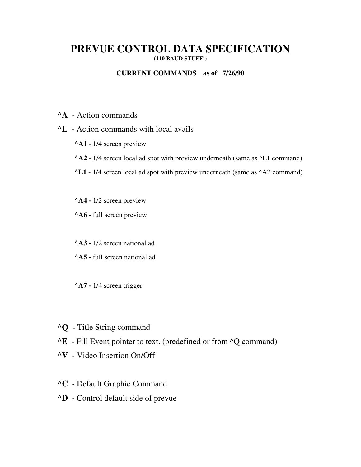# **PREVUE CONTROL DATA SPECIFICATION (110 BAUD STUFF!)**

## **CURRENT COMMANDS as of 7/26/90**

- **^A** Action commands
- **^L** Action commands with local avails
	- **^A1** 1/4 screen preview
	- **^A2** 1/4 screen local ad spot with preview underneath (same as ^L1 command)
	- **^L1**  1/4 screen local ad spot with preview underneath (same as ^A2 command)
	- **^A4 -** 1/2 screen preview
	- **^A6 -** full screen preview

**^A3 -** 1/2 screen national ad

- **^A5 -** full screen national ad
- **^A7 -** 1/4 screen trigger
- **^Q** Title String command
- **^E** Fill Event pointer to text. (predefined or from ^Q command)
- **^V** Video Insertion On/Off
- **^C** Default Graphic Command
- **^D** Control default side of prevue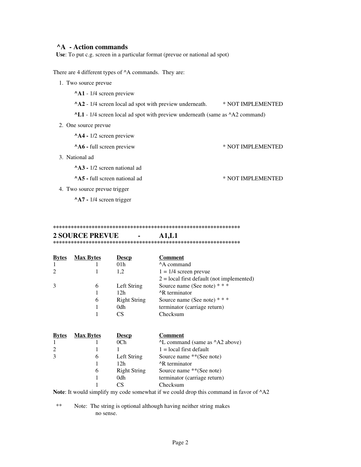## **A** - Action commands

Use: To put c.g. screen in a particular format (prevue or national ad spot)

There are 4 different types of  $^{\wedge}$ A commands. They are:

1. Two source prevue

^A1 - 1/4 screen preview

 $^{\wedge}$ A2 - 1/4 screen local ad spot with preview underneath. \* NOT IMPLEMENTED

\* NOT IMPLEMENTED

\* NOT IMPLEMENTED

^L1 - 1/4 screen local ad spot with preview underneath (same as ^A2 command)

2. One source prevue

^A4 - 1/2 screen preview

^A6 - full screen preview

3. National ad

^A3 - 1/2 screen national ad

^A5 - full screen national ad

4. Two source prevue trigger

^A7 - 1/4 screen trigger

#### 

#### **2 SOURCE PREVUE**  $\mathbf{r}$  $A1,L1$

| <b>Bytes</b> | <b>Max Bytes</b> | <b>Descp</b>        | <b>Comment</b>                              |
|--------------|------------------|---------------------|---------------------------------------------|
|              |                  | 01 <sub>h</sub>     | <sup>A</sup> A command                      |
| 2            |                  | 1,2                 | $1 = 1/4$ screen prevue                     |
|              |                  |                     | $2 = local$ first default (not implemented) |
| 3            | 6                | Left String         | Source name (See note) $***$                |
|              |                  | 12h                 | <sup>A</sup> R terminator                   |
|              | 6                | <b>Right String</b> | Source name (See note) $***$                |
|              |                  | 0 <sub>dh</sub>     | terminator (carriage return)                |
|              |                  | CS                  | Checksum                                    |
|              |                  |                     |                                             |

| <b>Bytes</b>   | <b>Max Bytes</b> | <b>Descp</b>        | Comment                                                                                                                                                                                                                                                                                                                                                         |
|----------------|------------------|---------------------|-----------------------------------------------------------------------------------------------------------------------------------------------------------------------------------------------------------------------------------------------------------------------------------------------------------------------------------------------------------------|
| 1              |                  | 0 <sub>Ch</sub>     | <sup>^</sup> L command (same as <sup>^</sup> A2 above)                                                                                                                                                                                                                                                                                                          |
| 2              |                  |                     | $1 = local$ first default                                                                                                                                                                                                                                                                                                                                       |
| 3              | 6                | Left String         | Source name **(See note)                                                                                                                                                                                                                                                                                                                                        |
|                |                  | 12h                 | <sup>A</sup> R terminator                                                                                                                                                                                                                                                                                                                                       |
|                | 6                | <b>Right String</b> | Source name **(See note)                                                                                                                                                                                                                                                                                                                                        |
|                |                  | 0dh                 | terminator (carriage return)                                                                                                                                                                                                                                                                                                                                    |
|                |                  | CS                  | Checksum                                                                                                                                                                                                                                                                                                                                                        |
| $\blacksquare$ |                  |                     | $\overline{1}$ , $\overline{1}$ , $\overline{1}$ , $\overline{1}$ , $\overline{1}$ , $\overline{1}$ , $\overline{1}$ , $\overline{1}$ , $\overline{1}$ , $\overline{1}$ , $\overline{1}$ , $\overline{1}$ , $\overline{1}$ , $\overline{1}$ , $\overline{1}$ , $\overline{1}$ , $\overline{1}$ , $\overline{1}$ , $\overline{1}$ , $\overline{1}$ ,<br>$\cdots$ |

Note: It would simplify my code somewhat if we could drop this command in favor of ^A2

 $**$ Note: The string is optional although having neither string makes no sense.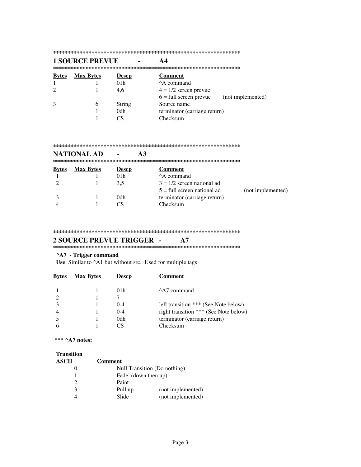#### 

#### **1 SOURCE PREVUE**  $A<sub>4</sub>$  $\overline{a}$ **Comment Bytes Max Bytes Descp**  $\mathbf{1}$  $\mathbf{1}$  $01h$ ^A command  $\overline{2}$  $\mathbf{1}$ 4,6  $4 = 1/2$  screen prevue  $6 = full screen$  prevue (not implemented)  $\overline{3}$ 6 **String** Source name  $\mathbf{1}$ 0dh terminator (carriage return)  $\mathbf{1}$  $CS$ Checksum

#### 

#### $A3$ **NATIONAL AD**  $\overline{a}$ **Bytes Max Bytes Descp Comment** ^A command  $\mathbf{1}$  $\mathbf{1}$  $01<sub>h</sub>$  $\sqrt{2}$  $\mathbf{1}$  $3,5$  $3 = 1/2$  screen national ad  $5 =$  full screen national ad (not implemented)  $\mathfrak{Z}$ terminator (carriage return)  $\mathbf{1}$ 0dh  $\overline{4}$  $\mathbf{1}$  $CS$ Checksum

 $A7$ 

#### 

### **2 SOURCE PREVUE TRIGGER -**

### 

### ^A7 - Trigger command

Use: Similar to ^A1 but without src. Used for multiple tags

| <b>Bytes</b> | <b>Max Bytes</b> | Descp           | <b>Comment</b>                        |
|--------------|------------------|-----------------|---------------------------------------|
|              |                  | 01 <sub>h</sub> | A <sub>7</sub> command                |
|              |                  |                 |                                       |
|              |                  | $($ )-4         | left transition *** (See Note below)  |
|              |                  | $0 - 4$         | right transition *** (See Note below) |
|              |                  | 0dh             | terminator (carriage return)          |
|              |                  | 7S              | Checksum                              |

\*\*\* ^A7 notes:

### **Transition**

| <b>ASCII</b> | <b>Comment</b>      |                              |
|--------------|---------------------|------------------------------|
|              |                     | Null Transition (Do nothing) |
|              | Fade (down then up) |                              |
| 2            | Paint               |                              |
| 3            | Pull up             | (not implemented)            |
|              | Slide               | (not implemented)            |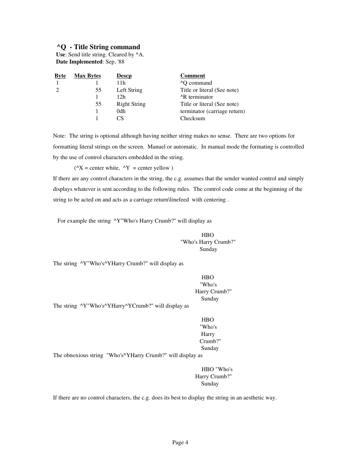## **^Q - Title String command**

Use: Send title string. Cleared by  $^{\wedge}$ A.  **Date Implemented**: Sep. '88

| <b>Byte</b> | <b>Max Bytes</b> | <b>Descp</b>        | <b>Comment</b>                              |
|-------------|------------------|---------------------|---------------------------------------------|
|             |                  | 11h                 | <sup><math>\triangle</math></sup> Q command |
|             | 55               | Left String         | Title or literal (See note)                 |
|             |                  | 12h                 | <sup>A</sup> R terminator                   |
|             | 55               | <b>Right String</b> | Title or literal (See note)                 |
|             |                  | 0dh                 | terminator (carriage return)                |
|             |                  | СS                  | Checksum                                    |
|             |                  |                     |                                             |

Note: The string is optional although having neither string makes no sense. There are two options for formatting literal strings on the screen. Manuel or automatic. In manual mode the formating is controlled by the use of control characters embedded in the string.

 $(X = center white, Y = center yellow)$ 

If there are any control characters in the string, the c.g. assumes that the sender wanted control and simply displays whatever is sent according to the following rules. The control code come at the beginning of the string to be acted on and acts as a carriage return\linefeed with centering .

For example the string ^Y"Who's Harry Crumb?" will display as

HBO "Who's Harry Crumb?" Sunday

The string  $\gamma Y''W$ ho's $\gamma YH$ arry Crumb?" will display as

HBO "Who's Harry Crumb?" Sunday

The string  $\gamma Y''W$ ho's $\gamma YH$ arry $\gamma YC$ rumb?" will display as

HBO "Who's Harry Crumb?" Sunday

The obnoxious string "Who's^YHarry Crumb?" will display as

HBO "Who's Harry Crumb?" Sunday

If there are no control characters, the c.g. does its best to display the string in an aesthetic way.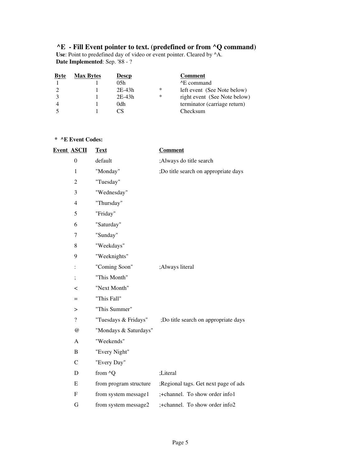## **^E - Fill Event pointer to text. (predefined or from ^Q command)**

 **Use**: Point to predefined day of video or event pointer. Cleared by ^A.  **Date Implemented**: Sep. '88 - ?

| <b>Byte</b> | <b>Max Bytes</b> | <b>Descp</b> |   | <b>Comment</b>               |
|-------------|------------------|--------------|---|------------------------------|
|             |                  | 0.5h         |   | <sup>^</sup> E command       |
|             |                  | $2E-43h$     | ∗ | left event (See Note below)  |
|             |                  | $2E-43h$     | ∗ | right event (See Note below) |
|             |                  | 0dh.         |   | terminator (carriage return) |
|             |                  |              |   | Checksum                     |

## **\* ^E Event Codes:**

| <b>Event ASCII</b>       | <b>Text</b>            | <b>Comment</b>                       |
|--------------------------|------------------------|--------------------------------------|
| $\boldsymbol{0}$         | default                | ;Always do title search              |
| $\mathbf{1}$             | "Monday"               | ;Do title search on appropriate days |
| $\overline{2}$           | "Tuesday"              |                                      |
| 3                        | "Wednesday"            |                                      |
| $\overline{4}$           | "Thursday"             |                                      |
| 5                        | "Friday"               |                                      |
| 6                        | "Saturday"             |                                      |
| 7                        | "Sunday"               |                                      |
| 8                        | "Weekdays"             |                                      |
| 9                        | "Weeknights"           |                                      |
| $\vdots$                 | "Coming Soon"          | ;Always literal                      |
| $\vdots$                 | "This Month"           |                                      |
| $\,<\,$                  | "Next Month"           |                                      |
| $=$                      | "This Fall"            |                                      |
| $\geq$                   | "This Summer"          |                                      |
| $\overline{\mathcal{L}}$ | "Tuesdays & Fridays"   | ;Do title search on appropriate days |
| $\omega$                 | "Mondays & Saturdays"  |                                      |
| A                        | "Weekends"             |                                      |
| B                        | "Every Night"          |                                      |
| $\mathsf{C}$             | "Every Day"            |                                      |
| D                        | from ^Q                | ;Literal                             |
| E                        | from program structure | ;Regional tags. Get next page of ads |
| $\mathbf F$              | from system message1   | ;+channel. To show order info1       |
| G                        | from system message2   | ;+channel. To show order info2       |
|                          |                        |                                      |